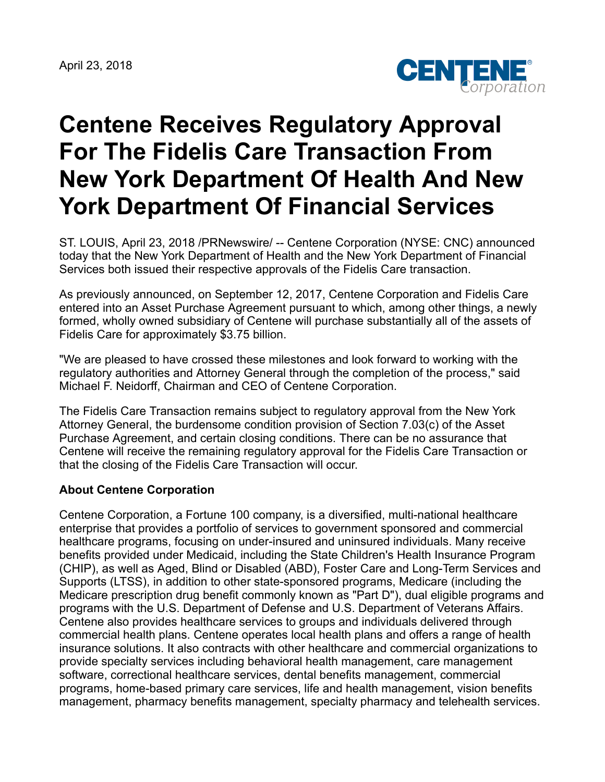April 23, 2018



## **Centene Receives Regulatory Approval For The Fidelis Care Transaction From New York Department Of Health And New York Department Of Financial Services**

ST. LOUIS, April 23, 2018 /PRNewswire/ -- Centene Corporation (NYSE: CNC) announced today that the New York Department of Health and the New York Department of Financial Services both issued their respective approvals of the Fidelis Care transaction.

As previously announced, on September 12, 2017, Centene Corporation and Fidelis Care entered into an Asset Purchase Agreement pursuant to which, among other things, a newly formed, wholly owned subsidiary of Centene will purchase substantially all of the assets of Fidelis Care for approximately \$3.75 billion.

"We are pleased to have crossed these milestones and look forward to working with the regulatory authorities and Attorney General through the completion of the process," said Michael F. Neidorff, Chairman and CEO of Centene Corporation.

The Fidelis Care Transaction remains subject to regulatory approval from the New York Attorney General, the burdensome condition provision of Section 7.03(c) of the Asset Purchase Agreement, and certain closing conditions. There can be no assurance that Centene will receive the remaining regulatory approval for the Fidelis Care Transaction or that the closing of the Fidelis Care Transaction will occur.

## **About Centene Corporation**

Centene Corporation, a Fortune 100 company, is a diversified, multi-national healthcare enterprise that provides a portfolio of services to government sponsored and commercial healthcare programs, focusing on under-insured and uninsured individuals. Many receive benefits provided under Medicaid, including the State Children's Health Insurance Program (CHIP), as well as Aged, Blind or Disabled (ABD), Foster Care and Long-Term Services and Supports (LTSS), in addition to other state-sponsored programs, Medicare (including the Medicare prescription drug benefit commonly known as "Part D"), dual eligible programs and programs with the U.S. Department of Defense and U.S. Department of Veterans Affairs. Centene also provides healthcare services to groups and individuals delivered through commercial health plans. Centene operates local health plans and offers a range of health insurance solutions. It also contracts with other healthcare and commercial organizations to provide specialty services including behavioral health management, care management software, correctional healthcare services, dental benefits management, commercial programs, home-based primary care services, life and health management, vision benefits management, pharmacy benefits management, specialty pharmacy and telehealth services.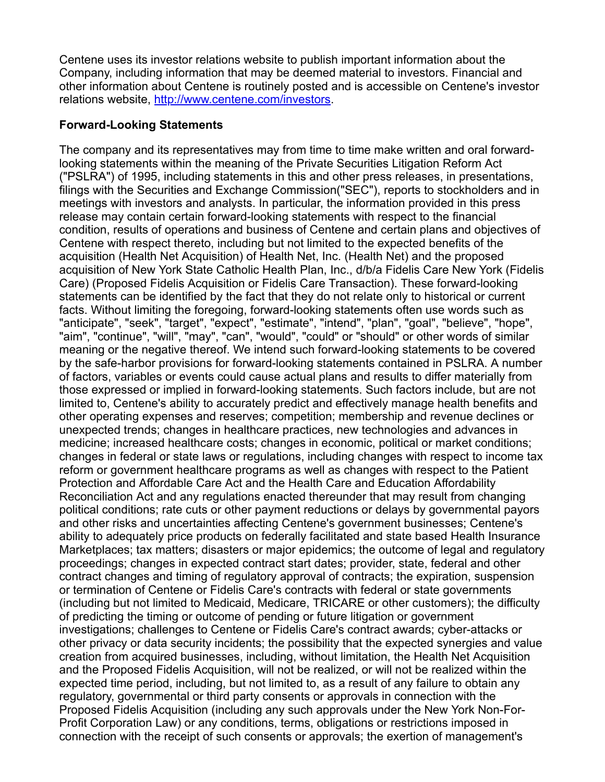Centene uses its investor relations website to publish important information about the Company, including information that may be deemed material to investors. Financial and other information about Centene is routinely posted and is accessible on Centene's investor relations website, <http://www.centene.com/investors>.

## **Forward-Looking Statements**

The company and its representatives may from time to time make written and oral forwardlooking statements within the meaning of the Private Securities Litigation Reform Act ("PSLRA") of 1995, including statements in this and other press releases, in presentations, filings with the Securities and Exchange Commission("SEC"), reports to stockholders and in meetings with investors and analysts. In particular, the information provided in this press release may contain certain forward-looking statements with respect to the financial condition, results of operations and business of Centene and certain plans and objectives of Centene with respect thereto, including but not limited to the expected benefits of the acquisition (Health Net Acquisition) of Health Net, Inc. (Health Net) and the proposed acquisition of New York State Catholic Health Plan, Inc., d/b/a Fidelis Care New York (Fidelis Care) (Proposed Fidelis Acquisition or Fidelis Care Transaction). These forward-looking statements can be identified by the fact that they do not relate only to historical or current facts. Without limiting the foregoing, forward-looking statements often use words such as "anticipate", "seek", "target", "expect", "estimate", "intend", "plan", "goal", "believe", "hope", "aim", "continue", "will", "may", "can", "would", "could" or "should" or other words of similar meaning or the negative thereof. We intend such forward-looking statements to be covered by the safe-harbor provisions for forward-looking statements contained in PSLRA. A number of factors, variables or events could cause actual plans and results to differ materially from those expressed or implied in forward-looking statements. Such factors include, but are not limited to, Centene's ability to accurately predict and effectively manage health benefits and other operating expenses and reserves; competition; membership and revenue declines or unexpected trends; changes in healthcare practices, new technologies and advances in medicine; increased healthcare costs; changes in economic, political or market conditions; changes in federal or state laws or regulations, including changes with respect to income tax reform or government healthcare programs as well as changes with respect to the Patient Protection and Affordable Care Act and the Health Care and Education Affordability Reconciliation Act and any regulations enacted thereunder that may result from changing political conditions; rate cuts or other payment reductions or delays by governmental payors and other risks and uncertainties affecting Centene's government businesses; Centene's ability to adequately price products on federally facilitated and state based Health Insurance Marketplaces; tax matters; disasters or major epidemics; the outcome of legal and regulatory proceedings; changes in expected contract start dates; provider, state, federal and other contract changes and timing of regulatory approval of contracts; the expiration, suspension or termination of Centene or Fidelis Care's contracts with federal or state governments (including but not limited to Medicaid, Medicare, TRICARE or other customers); the difficulty of predicting the timing or outcome of pending or future litigation or government investigations; challenges to Centene or Fidelis Care's contract awards; cyber-attacks or other privacy or data security incidents; the possibility that the expected synergies and value creation from acquired businesses, including, without limitation, the Health Net Acquisition and the Proposed Fidelis Acquisition, will not be realized, or will not be realized within the expected time period, including, but not limited to, as a result of any failure to obtain any regulatory, governmental or third party consents or approvals in connection with the Proposed Fidelis Acquisition (including any such approvals under the New York Non-For-Profit Corporation Law) or any conditions, terms, obligations or restrictions imposed in connection with the receipt of such consents or approvals; the exertion of management's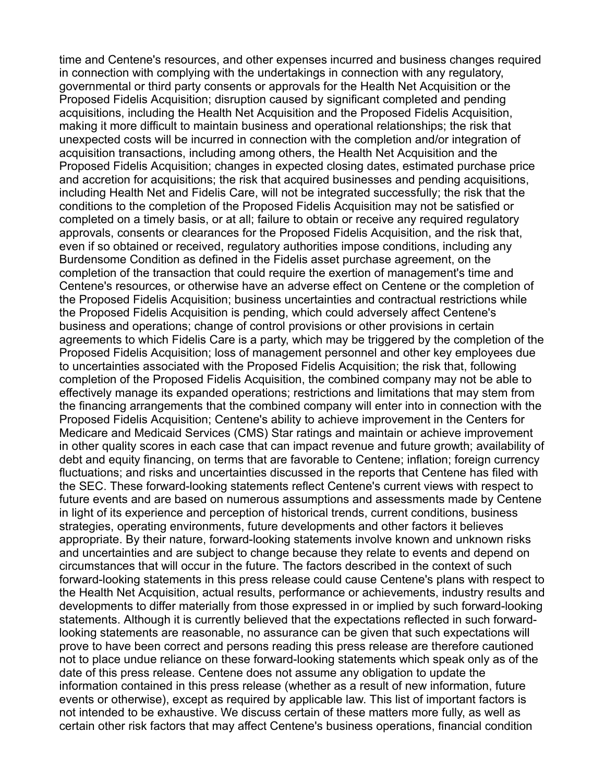time and Centene's resources, and other expenses incurred and business changes required in connection with complying with the undertakings in connection with any regulatory, governmental or third party consents or approvals for the Health Net Acquisition or the Proposed Fidelis Acquisition; disruption caused by significant completed and pending acquisitions, including the Health Net Acquisition and the Proposed Fidelis Acquisition, making it more difficult to maintain business and operational relationships; the risk that unexpected costs will be incurred in connection with the completion and/or integration of acquisition transactions, including among others, the Health Net Acquisition and the Proposed Fidelis Acquisition; changes in expected closing dates, estimated purchase price and accretion for acquisitions; the risk that acquired businesses and pending acquisitions, including Health Net and Fidelis Care, will not be integrated successfully; the risk that the conditions to the completion of the Proposed Fidelis Acquisition may not be satisfied or completed on a timely basis, or at all; failure to obtain or receive any required regulatory approvals, consents or clearances for the Proposed Fidelis Acquisition, and the risk that, even if so obtained or received, regulatory authorities impose conditions, including any Burdensome Condition as defined in the Fidelis asset purchase agreement, on the completion of the transaction that could require the exertion of management's time and Centene's resources, or otherwise have an adverse effect on Centene or the completion of the Proposed Fidelis Acquisition; business uncertainties and contractual restrictions while the Proposed Fidelis Acquisition is pending, which could adversely affect Centene's business and operations; change of control provisions or other provisions in certain agreements to which Fidelis Care is a party, which may be triggered by the completion of the Proposed Fidelis Acquisition; loss of management personnel and other key employees due to uncertainties associated with the Proposed Fidelis Acquisition; the risk that, following completion of the Proposed Fidelis Acquisition, the combined company may not be able to effectively manage its expanded operations; restrictions and limitations that may stem from the financing arrangements that the combined company will enter into in connection with the Proposed Fidelis Acquisition; Centene's ability to achieve improvement in the Centers for Medicare and Medicaid Services (CMS) Star ratings and maintain or achieve improvement in other quality scores in each case that can impact revenue and future growth; availability of debt and equity financing, on terms that are favorable to Centene; inflation; foreign currency fluctuations; and risks and uncertainties discussed in the reports that Centene has filed with the SEC. These forward-looking statements reflect Centene's current views with respect to future events and are based on numerous assumptions and assessments made by Centene in light of its experience and perception of historical trends, current conditions, business strategies, operating environments, future developments and other factors it believes appropriate. By their nature, forward-looking statements involve known and unknown risks and uncertainties and are subject to change because they relate to events and depend on circumstances that will occur in the future. The factors described in the context of such forward-looking statements in this press release could cause Centene's plans with respect to the Health Net Acquisition, actual results, performance or achievements, industry results and developments to differ materially from those expressed in or implied by such forward-looking statements. Although it is currently believed that the expectations reflected in such forwardlooking statements are reasonable, no assurance can be given that such expectations will prove to have been correct and persons reading this press release are therefore cautioned not to place undue reliance on these forward-looking statements which speak only as of the date of this press release. Centene does not assume any obligation to update the information contained in this press release (whether as a result of new information, future events or otherwise), except as required by applicable law. This list of important factors is not intended to be exhaustive. We discuss certain of these matters more fully, as well as certain other risk factors that may affect Centene's business operations, financial condition